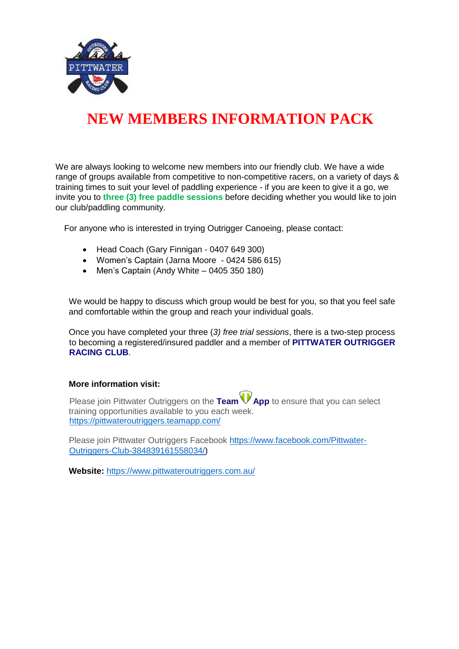

# **NEW MEMBERS INFORMATION PACK**

We are always looking to welcome new members into our friendly club. We have a wide range of groups available from competitive to non-competitive racers, on a variety of days & training times to suit your level of paddling experience - if you are keen to give it a go, we invite you to **three (3) free paddle sessions** before deciding whether you would like to join our club/paddling community.

For anyone who is interested in trying Outrigger Canoeing, please contact:

- Head Coach (Gary Finnigan 0407 649 300)
- Women's Captain (Jarna Moore 0424 586 615)
- $\bullet$  Men's Captain (Andy White 0405 350 180)

We would be happy to discuss which group would be best for you, so that you feel safe and comfortable within the group and reach your individual goals.

Once you have completed your three (*3) free trial sessions*, there is a two-step process to becoming a registered/insured paddler and a member of **PITTWATER OUTRIGGER RACING CLUB**.

#### **More information visit:**

Please join Pittwater Outriggers on the **[Team](https://pittwateroutriggers.teamapp.com/)<sup>\</sup> [App](https://pittwateroutriggers.teamapp.com/)** to ensure that you can select training opportunities available to you each week. <https://pittwateroutriggers.teamapp.com/>

Please join Pittwater Outriggers Facebook [https://www.facebook.com/Pittwater-](https://www.facebook.com/Pittwater-Outriggers-Club-384839161558034/)[Outriggers-Club-384839161558034/\)](https://www.facebook.com/Pittwater-Outriggers-Club-384839161558034/)

**Website:** <https://www.pittwateroutriggers.com.au/>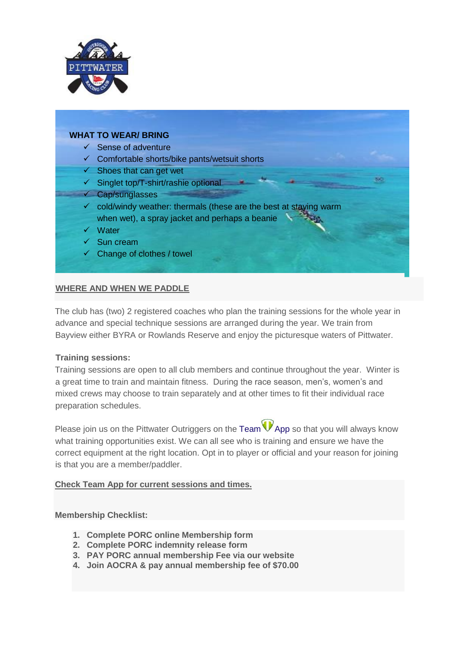

# **WHAT TO WEAR/ BRING**  $\checkmark$  Sense of adventure  $\checkmark$  Comfortable shorts/bike pants/wetsuit shorts  $\checkmark$  Shoes that can get wet  $\checkmark$  Singlet top/T-shirt/rashie optional  $\checkmark$  Cap/sunglasses  $\checkmark$  cold/windy weather: thermals (these are the best at staying warm when wet), a spray jacket and perhaps a beanie  $\sqrt{\phantom{1}}$  Water  $\checkmark$  Sun cream  $\checkmark$  Change of clothes / towel

# **WHERE AND WHEN WE PADDLE**

The club has (two) 2 registered coaches who plan the training sessions for the whole year in advance and special technique sessions are arranged during the year. We train from Bayview either BYRA or Rowlands Reserve and enjoy the picturesque waters of Pittwater.

# **Training sessions:**

Training sessions are open to all club members and continue throughout the year. Winter is a great time to train and maintain fitness. During the race season, men's, women's and mixed crews may choose to train separately and at other times to fit their individual race preparation schedules.

Please join us on the Pittwater Outriggers on the [Team](https://pittwateroutriggers.teamapp.com/)  $\nabla$  [App](https://pittwateroutriggers.teamapp.com/) so that you will always know what training opportunities exist. We can all see who is training and ensure we have the correct equipment at the right location. Opt in to player or official and your reason for joining is that you are a member/paddler.

### **Check Team App for current sessions and times.**

**Membership Checklist:**

- **1. Complete PORC online Membership form**
- **2. Complete PORC indemnity release form**
- **3. PAY PORC annual membership Fee via our website**
- **4. Join AOCRA & pay annual membership fee of \$70.00**